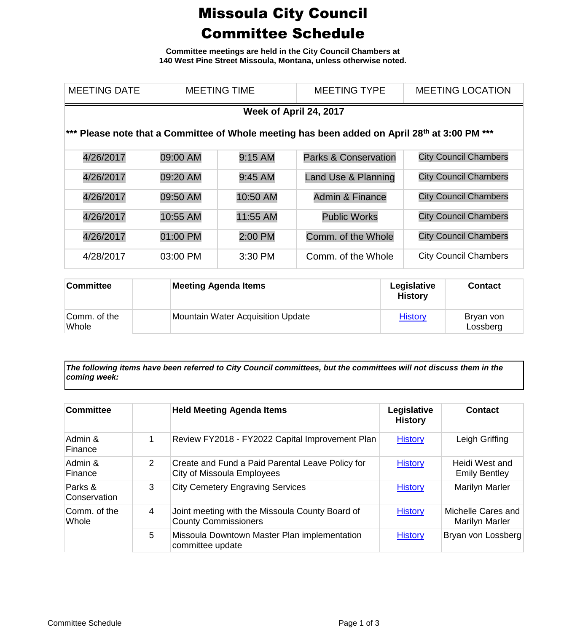## Missoula City Council Committee Schedule

**Committee meetings are held in the City Council Chambers at 140 West Pine Street Missoula, Montana, unless otherwise noted.**

| <b>MEETING DATE</b>                                                                                       | <b>MEETING TIME</b> |           | <b>MEETING TYPE</b>             | <b>MEETING LOCATION</b>      |  |  |
|-----------------------------------------------------------------------------------------------------------|---------------------|-----------|---------------------------------|------------------------------|--|--|
| Week of April 24, 2017                                                                                    |                     |           |                                 |                              |  |  |
| *** Please note that a Committee of Whole meeting has been added on April 28 <sup>th</sup> at 3:00 PM *** |                     |           |                                 |                              |  |  |
| 4/26/2017                                                                                                 | 09:00 AM            | 9:15 AM   | <b>Parks &amp; Conservation</b> | <b>City Council Chambers</b> |  |  |
| 4/26/2017                                                                                                 | 09:20 AM            | $9:45$ AM | Land Use & Planning             | <b>City Council Chambers</b> |  |  |
| 4/26/2017                                                                                                 | 09:50 AM            | 10:50 AM  | <b>Admin &amp; Finance</b>      | <b>City Council Chambers</b> |  |  |
| 4/26/2017                                                                                                 | 10:55 AM            | 11:55 AM  | <b>Public Works</b>             | <b>City Council Chambers</b> |  |  |
| 4/26/2017                                                                                                 | 01:00 PM            | 2:00 PM   | Comm. of the Whole              | <b>City Council Chambers</b> |  |  |
| 4/28/2017                                                                                                 | 03:00 PM            | 3:30 PM   | Comm. of the Whole              | <b>City Council Chambers</b> |  |  |

| <b>Committee</b>      | <b>Meeting Agenda Items</b>              | Legislative<br><b>History</b> | <b>Contact</b>        |
|-----------------------|------------------------------------------|-------------------------------|-----------------------|
| Comm. of the<br>Whole | <b>Mountain Water Acquisition Update</b> | <b>History</b>                | Bryan von<br>Lossberg |

*The following items have been referred to City Council committees, but the committees will not discuss them in the coming week:*

| <b>Committee</b>        |   | <b>Held Meeting Agenda Items</b>                                               | Legislative<br><b>History</b> | <b>Contact</b>                         |
|-------------------------|---|--------------------------------------------------------------------------------|-------------------------------|----------------------------------------|
| Admin &<br>Finance      | 1 | Review FY2018 - FY2022 Capital Improvement Plan                                | <b>History</b>                | Leigh Griffing                         |
| Admin &<br>Finance      | 2 | Create and Fund a Paid Parental Leave Policy for<br>City of Missoula Employees | <b>History</b>                | Heidi West and<br><b>Emily Bentley</b> |
| Parks &<br>Conservation | 3 | <b>City Cemetery Engraving Services</b>                                        | <b>History</b>                | Marilyn Marler                         |
| Comm. of the<br>Whole   | 4 | Joint meeting with the Missoula County Board of<br><b>County Commissioners</b> | <b>History</b>                | Michelle Cares and<br>Marilyn Marler   |
|                         | 5 | Missoula Downtown Master Plan implementation<br>committee update               | <b>History</b>                | Bryan von Lossberg                     |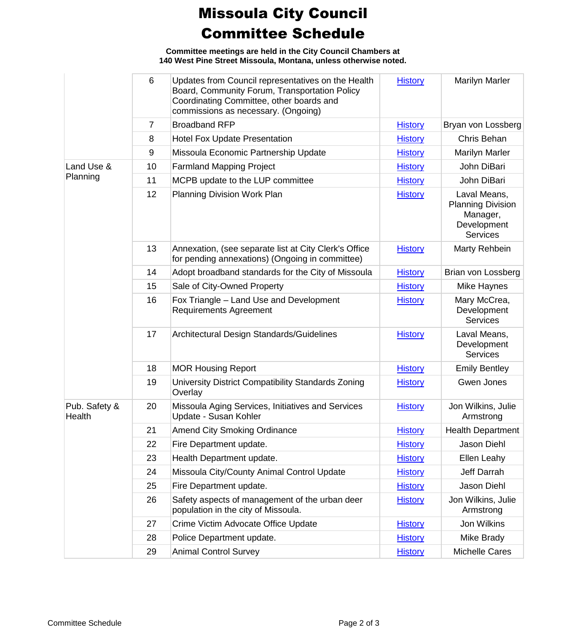## Missoula City Council Committee Schedule

**Committee meetings are held in the City Council Chambers at 140 West Pine Street Missoula, Montana, unless otherwise noted.**

|                         | 6              | Updates from Council representatives on the Health<br>Board, Community Forum, Transportation Policy<br>Coordinating Committee, other boards and<br>commissions as necessary. (Ongoing) | <b>History</b> | Marilyn Marler                                                                         |
|-------------------------|----------------|----------------------------------------------------------------------------------------------------------------------------------------------------------------------------------------|----------------|----------------------------------------------------------------------------------------|
|                         | $\overline{7}$ | <b>Broadband RFP</b>                                                                                                                                                                   | <b>History</b> | Bryan von Lossberg                                                                     |
|                         | 8              | <b>Hotel Fox Update Presentation</b>                                                                                                                                                   | <b>History</b> | Chris Behan                                                                            |
|                         | 9              | Missoula Economic Partnership Update                                                                                                                                                   | <b>History</b> | <b>Marilyn Marler</b>                                                                  |
| Land Use &              | 10             | <b>Farmland Mapping Project</b>                                                                                                                                                        | <b>History</b> | John DiBari                                                                            |
| Planning                | 11             | MCPB update to the LUP committee                                                                                                                                                       | <b>History</b> | John DiBari                                                                            |
|                         | 12             | Planning Division Work Plan                                                                                                                                                            | <b>History</b> | Laval Means,<br><b>Planning Division</b><br>Manager,<br>Development<br><b>Services</b> |
|                         | 13             | Annexation, (see separate list at City Clerk's Office<br>for pending annexations) (Ongoing in committee)                                                                               | <b>History</b> | Marty Rehbein                                                                          |
|                         | 14             | Adopt broadband standards for the City of Missoula                                                                                                                                     | <b>History</b> | Brian von Lossberg                                                                     |
|                         | 15             | Sale of City-Owned Property                                                                                                                                                            | <b>History</b> | Mike Haynes                                                                            |
|                         | 16             | Fox Triangle - Land Use and Development<br><b>Requirements Agreement</b>                                                                                                               | <b>History</b> | Mary McCrea,<br>Development<br><b>Services</b>                                         |
|                         | 17             | Architectural Design Standards/Guidelines                                                                                                                                              | <b>History</b> | Laval Means,<br>Development<br><b>Services</b>                                         |
|                         | 18             | <b>MOR Housing Report</b>                                                                                                                                                              | <b>History</b> | <b>Emily Bentley</b>                                                                   |
|                         | 19             | University District Compatibility Standards Zoning<br>Overlay                                                                                                                          | <b>History</b> | Gwen Jones                                                                             |
| Pub. Safety &<br>Health | 20             | Missoula Aging Services, Initiatives and Services<br>Update - Susan Kohler                                                                                                             | <b>History</b> | Jon Wilkins, Julie<br>Armstrong                                                        |
|                         | 21             | <b>Amend City Smoking Ordinance</b>                                                                                                                                                    | <b>History</b> | <b>Health Department</b>                                                               |
|                         | 22             | Fire Department update.                                                                                                                                                                | <b>History</b> | Jason Diehl                                                                            |
|                         | 23             | Health Department update.                                                                                                                                                              | <b>History</b> | Ellen Leahy                                                                            |
|                         | 24             | Missoula City/County Animal Control Update                                                                                                                                             | <b>History</b> | Jeff Darrah                                                                            |
|                         | 25             | Fire Department update.                                                                                                                                                                | <b>History</b> | Jason Diehl                                                                            |
|                         | 26             | Safety aspects of management of the urban deer<br>population in the city of Missoula.                                                                                                  | <b>History</b> | Jon Wilkins, Julie<br>Armstrong                                                        |
|                         | 27             | Crime Victim Advocate Office Update                                                                                                                                                    | <b>History</b> | Jon Wilkins                                                                            |
|                         | 28             | Police Department update.                                                                                                                                                              | <b>History</b> | Mike Brady                                                                             |
|                         | 29             | <b>Animal Control Survey</b>                                                                                                                                                           | <b>History</b> | Michelle Cares                                                                         |